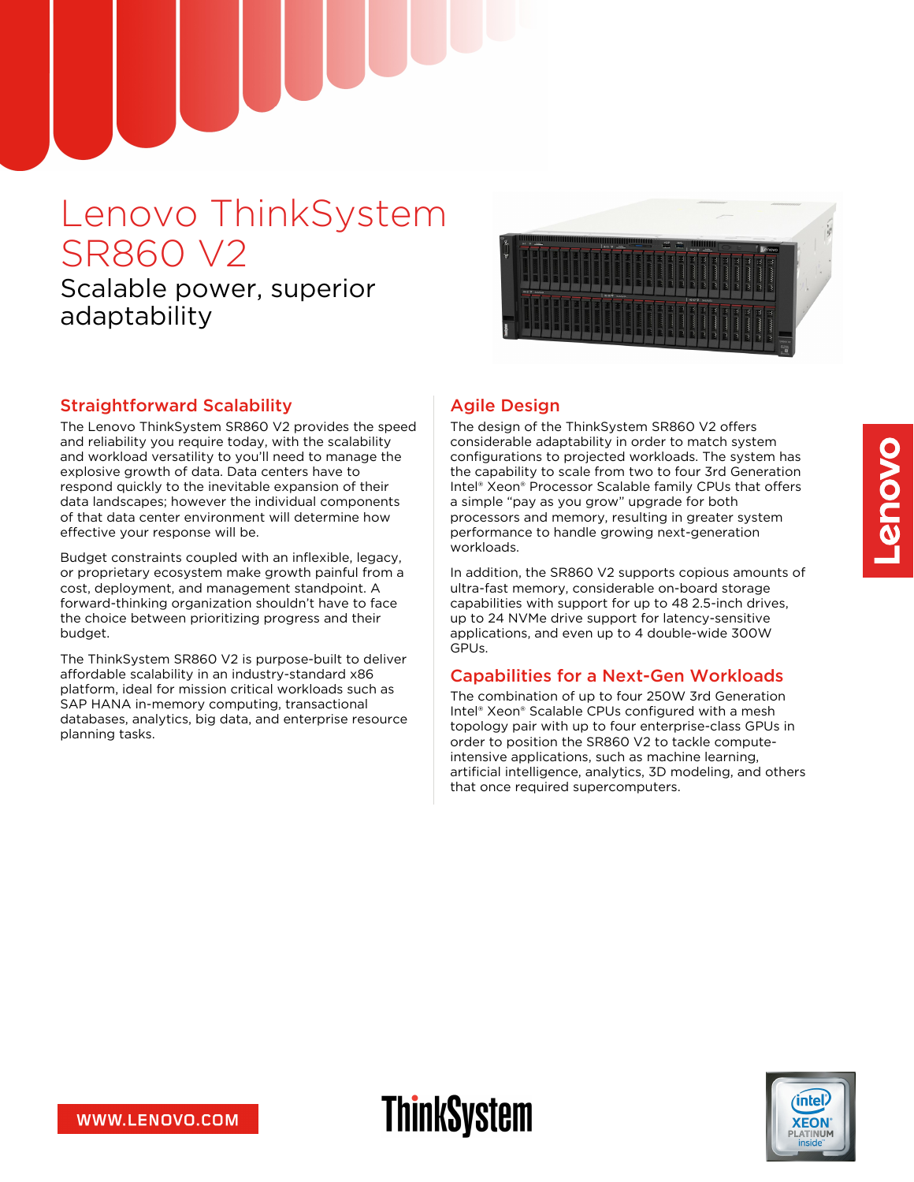# Lenovo ThinkSystem SR860 V2

## Scalable power, superior adaptability



#### Straightforward Scalability

The Lenovo ThinkSystem SR860 V2 provides the speed and reliability you require today, with the scalability and workload versatility to you'll need to manage the explosive growth of data. Data centers have to respond quickly to the inevitable expansion of their data landscapes; however the individual components of that data center environment will determine how effective your response will be.

Budget constraints coupled with an inflexible, legacy, or proprietary ecosystem make growth painful from a cost, deployment, and management standpoint. A forward-thinking organization shouldn't have to face the choice between prioritizing progress and their budget.

The ThinkSystem SR860 V2 is purpose-built to deliver affordable scalability in an industry-standard x86 platform, ideal for mission critical workloads such as SAP HANA in-memory computing, transactional databases, analytics, big data, and enterprise resource planning tasks.

### Agile Design

**ThinkSystem** 

The design of the ThinkSystem SR860 V2 offers considerable adaptability in order to match system configurations to projected workloads. The system has the capability to scale from two to four 3rd Generation Intel® Xeon® Processor Scalable family CPUs that offers a simple "pay as you grow" upgrade for both processors and memory, resulting in greater system performance to handle growing next-generation workloads.

In addition, the SR860 V2 supports copious amounts of ultra-fast memory, considerable on-board storage capabilities with support for up to 48 2.5-inch drives, up to 24 NVMe drive support for latency-sensitive applications, and even up to 4 double-wide 300W GPUs.

#### Capabilities for a Next-Gen Workloads

The combination of up to four 250W 3rd Generation Intel® Xeon® Scalable CPUs configured with a mesh topology pair with up to four enterprise-class GPUs in order to position the SR860 V2 to tackle computeintensive applications, such as machine learning, artificial intelligence, analytics, 3D modeling, and others that once required supercomputers.



intel

**XEON**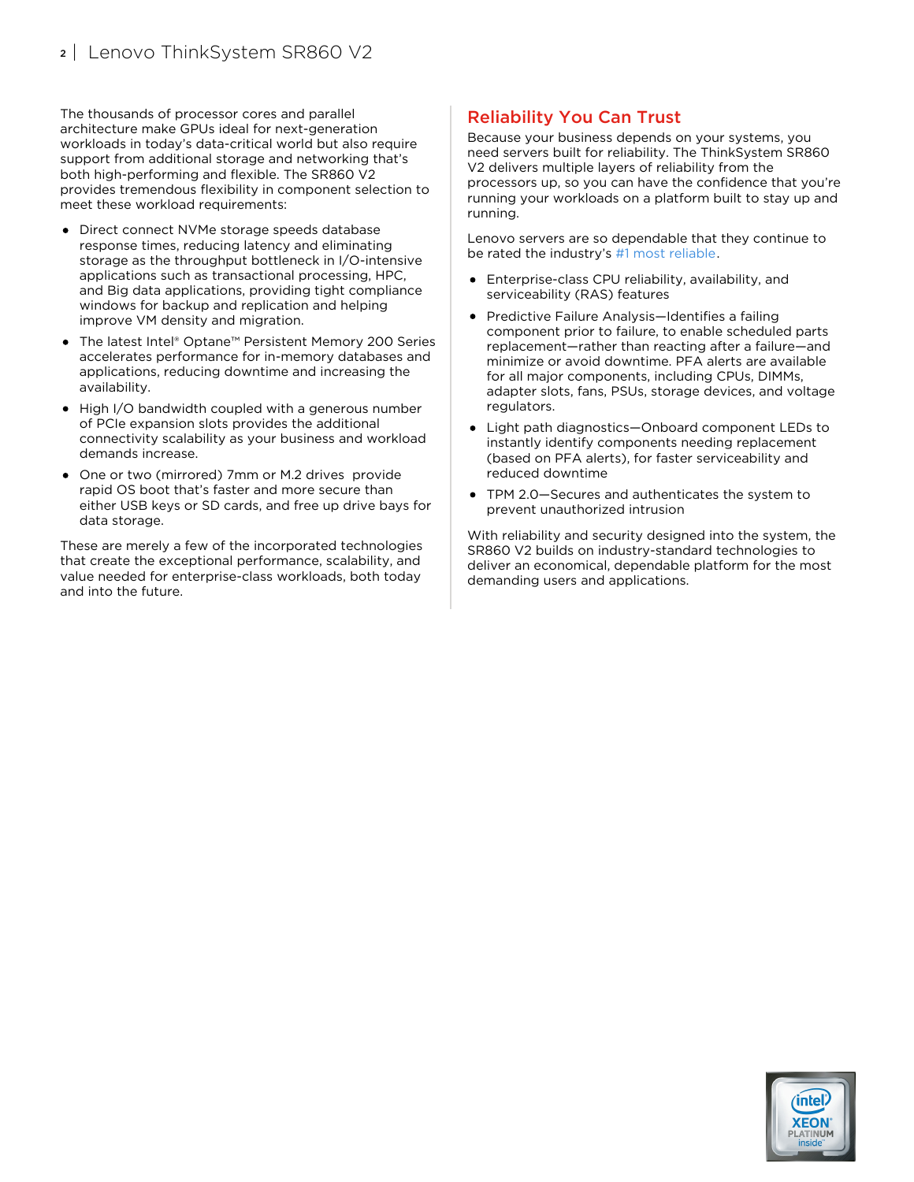The thousands of processor cores and parallel architecture make GPUs ideal for next-generation workloads in today's data-critical world but also require support from additional storage and networking that's both high-performing and flexible. The SR860 V2 provides tremendous flexibility in component selection to meet these workload requirements:

- Direct connect NVMe storage speeds database response times, reducing latency and eliminating storage as the throughput bottleneck in I/O-intensive applications such as transactional processing, HPC, and Big data applications, providing tight compliance windows for backup and replication and helping improve VM density and migration.
- The latest Intel® Optane™ Persistent Memory 200 Series accelerates performance for in-memory databases and applications, reducing downtime and increasing the availability.
- High I/O bandwidth coupled with a generous number of PCIe expansion slots provides the additional connectivity scalability as your business and workload demands increase.
- One or two (mirrored) 7mm or M.2 drives provide rapid OS boot that's faster and more secure than either USB keys or SD cards, and free up drive bays for data storage.

These are merely a few of the incorporated technologies that create the exceptional performance, scalability, and value needed for enterprise-class workloads, both today and into the future.

#### Reliability You Can Trust

Because your business depends on your systems, you need servers built for reliability. The ThinkSystem SR860 V2 delivers multiple layers of reliability from the processors up, so you can have the confidence that you're running your workloads on a platform built to stay up and running.

Lenovo servers are so dependable that they continue to be rated the industry's #1 most [reliable](https://lenovopress.com/lp1117).

- Enterprise-class CPU reliability, availability, and serviceability (RAS) features
- Predictive Failure Analysis—Identifies a failing component prior to failure, to enable scheduled parts replacement—rather than reacting after a failure—and minimize or avoid downtime. PFA alerts are available for all major components, including CPUs, DIMMs, adapter slots, fans, PSUs, storage devices, and voltage regulators.
- Light path diagnostics—Onboard component LEDs to instantly identify components needing replacement (based on PFA alerts), for faster serviceability and reduced downtime
- TPM 2.0—Secures and authenticates the system to prevent unauthorized intrusion

With reliability and security designed into the system, the SR860 V2 builds on industry-standard technologies to deliver an economical, dependable platform for the most demanding users and applications.